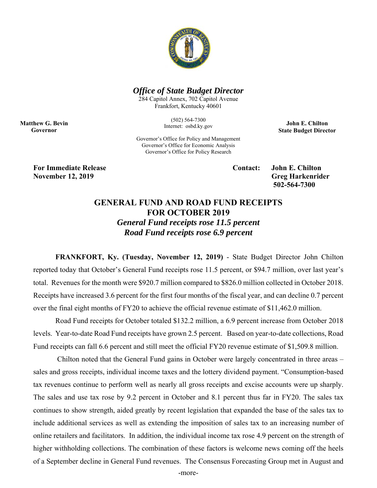

## *Office of State Budget Director*

284 Capitol Annex, 702 Capitol Avenue Frankfort, Kentucky 40601

> (502) 564-7300 Internet: osbd.ky.gov

**John E. Chilton State Budget Director** 

Governor's Office for Policy and Management Governor's Office for Economic Analysis Governor's Office for Policy Research

**For Immediate Release Contact: John E. Chilton November 12, 2019** Greg Harkenrider

**Matthew G. Bevin Governor** 

 **502-564-7300** 

## **GENERAL FUND AND ROAD FUND RECEIPTS FOR OCTOBER 2019**

*General Fund receipts rose 11.5 percent Road Fund receipts rose 6.9 percent* 

**FRANKFORT, Ky. (Tuesday, November 12, 2019)** - State Budget Director John Chilton reported today that October's General Fund receipts rose 11.5 percent, or \$94.7 million, over last year's total. Revenues for the month were \$920.7 million compared to \$826.0 million collected in October 2018. Receipts have increased 3.6 percent for the first four months of the fiscal year, and can decline 0.7 percent over the final eight months of FY20 to achieve the official revenue estimate of \$11,462.0 million.

Road Fund receipts for October totaled \$132.2 million, a 6.9 percent increase from October 2018 levels. Year-to-date Road Fund receipts have grown 2.5 percent. Based on year-to-date collections, Road Fund receipts can fall 6.6 percent and still meet the official FY20 revenue estimate of \$1,509.8 million.

 Chilton noted that the General Fund gains in October were largely concentrated in three areas – sales and gross receipts, individual income taxes and the lottery dividend payment. "Consumption-based tax revenues continue to perform well as nearly all gross receipts and excise accounts were up sharply. The sales and use tax rose by 9.2 percent in October and 8.1 percent thus far in FY20. The sales tax continues to show strength, aided greatly by recent legislation that expanded the base of the sales tax to include additional services as well as extending the imposition of sales tax to an increasing number of online retailers and facilitators. In addition, the individual income tax rose 4.9 percent on the strength of higher withholding collections. The combination of these factors is welcome news coming off the heels of a September decline in General Fund revenues. The Consensus Forecasting Group met in August and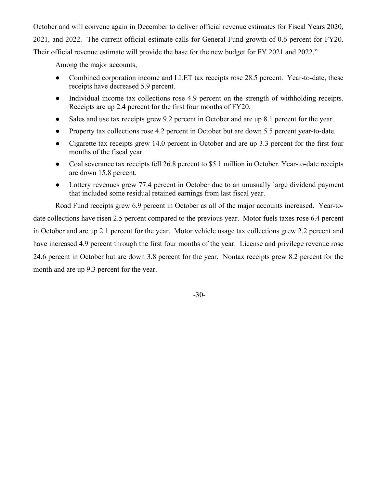October and will convene again in December to deliver official revenue estimates for Fiscal Years 2020, 2021, and 2022. The current official estimate calls for General Fund growth of 0.6 percent for FY20. Their official revenue estimate will provide the base for the new budget for FY 2021 and 2022."

Among the major accounts,

- Combined corporation income and LLET tax receipts rose 28.5 percent. Year-to-date, these receipts have decreased 5.9 percent.
- Individual income tax collections rose 4.9 percent on the strength of withholding receipts. Receipts are up 2.4 percent for the first four months of FY20.
- Sales and use tax receipts grew 9.2 percent in October and are up 8.1 percent for the year.
- Property tax collections rose 4.2 percent in October but are down 5.5 percent year-to-date.
- Cigarette tax receipts grew 14.0 percent in October and are up 3.3 percent for the first four months of the fiscal year.
- Coal severance tax receipts fell 26.8 percent to \$5.1 million in October. Year-to-date receipts are down 15.8 percent.
- Lottery revenues grew 77.4 percent in October due to an unusually large dividend payment that included some residual retained earnings from last fiscal year.

Road Fund receipts grew 6.9 percent in October as all of the major accounts increased. Year-todate collections have risen 2.5 percent compared to the previous year. Motor fuels taxes rose 6.4 percent in October and are up 2.1 percent for the year. Motor vehicle usage tax collections grew 2.2 percent and have increased 4.9 percent through the first four months of the year. License and privilege revenue rose 24.6 percent in October but are down 3.8 percent for the year. Nontax receipts grew 8.2 percent for the month and are up 9.3 percent for the year.

-30-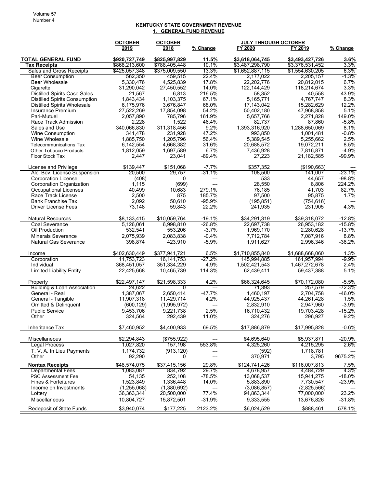## **KENTUCKY STATE GOVERNMENT REVENUE 1. GENERAL FUND REVENUE**

|                                                  | <b>OCTOBER</b>                 | <b>OCTOBER</b>                 |                    |                                    | <b>JULY THROUGH OCTOBER</b>        |                 |
|--------------------------------------------------|--------------------------------|--------------------------------|--------------------|------------------------------------|------------------------------------|-----------------|
|                                                  | 2019                           | 2018                           | <u>% Change</u>    | FY 2020                            | FY 2019                            | % Change        |
| <b>TOTAL GENERAL FUND</b><br>Tax Receipts        | \$920,727,749<br>\$868,213,600 | \$825,997,829<br>\$788,405,448 | 11.5%<br>10.1%     | \$3,618,064,745<br>\$3,487,298,790 | \$3,493,427,726<br>\$3,376,531,452 | 3.6%<br>3.3%    |
| Sales and Gross Receipts                         | \$425,057,348                  | \$375,009,550                  | 13.3%              | \$1,652,887,115                    | \$1,554,630,205                    | 6.3%            |
| <b>Beer Consumption</b>                          | 562,350                        | 459,515                        | 22.4%              | 2,177,022                          | 2,205,157                          | $-1.3%$         |
| <b>Beer Wholesale</b>                            | 5,330,476                      | 4,525,839                      | 17.8%              | 22,202,776                         | 20,812,015                         | 6.7%            |
| Cigarette                                        | 31,290,042                     | 27,450,552                     | 14.0%              | 122, 144, 429                      | 118,214,674                        | 3.3%            |
| <b>Distilled Spirits Case Sales</b>              | 21,567                         | 6,813                          | 216.5%             | 58,352                             | 40,558                             | 43.9%           |
| <b>Distilled Spirits Consumption</b>             | 1,843,434                      | 1,103,375                      | 67.1%              | 5,165,771                          | 4,767,747                          | 8.3%            |
| <b>Distilled Spirits Wholesale</b>               | 6,175,976                      | 3,676,847                      | 68.0%              | 17,143,042                         | 15,282,629                         | 12.2%           |
| Insurance Premium                                | 27,522,269                     | 17,854,098                     | 54.2%              | 50,402,180                         | 47,968,858                         | 5.1%            |
| Pari-Mutuel                                      | 2,057,890                      | 785,796                        | 161.9%             | 5,657,766                          | 2,271,828                          | 149.0%          |
| Race Track Admission                             | 2,228                          | 1,522                          | 46.4%              | 82,737                             | 87,860                             | $-5.8%$         |
| Sales and Use                                    | 340,066,830                    | 311,318,456                    | 9.2%               | 1,393,316,920                      | 1,288,650,069                      | 8.1%            |
| <b>Wine Consumption</b>                          | 341,478                        | 231,928                        | 47.2%              | 993,850                            | 1,001,481                          | $-0.8%$         |
| Wine Wholesale                                   | 1,885,750                      | 1,205,796                      | 56.4%              | 5,389,545                          | 5,255,662                          | 2.5%            |
| <b>Telecommunications Tax</b>                    | 6,142,554                      | 4,668,382                      | 31.6%<br>6.7%      | 20,688,572                         | 19,072,211                         | 8.5%<br>$-4.9%$ |
| <b>Other Tobacco Products</b><br>Floor Stock Tax | 1,812,059<br>2,447             | 1,697,589<br>23,041            | $-89.4%$           | 7,436,928<br>27,223                | 7,816,871<br>21,182,585            | $-99.9%$        |
|                                                  |                                |                                |                    |                                    |                                    |                 |
| License and Privilege                            | \$139,447                      | \$151,068                      | $-7.7%$            | \$357,352                          | (\$190,663)                        |                 |
| Alc. Bev. License Suspension                     | 20,500                         | 29.757                         | $-31.1%$           | 108,500                            | 141,007                            | -23.1%          |
| <b>Corporation License</b>                       | (408)                          | 0                              | ---                | 533                                | 44,657                             | $-98.8%$        |
| Corporation Organization                         | 1,115                          | (699)                          | $---$              | 28,550                             | 8,806                              | 224.2%          |
| <b>Occupational Licenses</b>                     | 40,499                         | 10,683                         | 279.1%             | 76.185                             | 41,703                             | 82.7%           |
| Race Track License<br><b>Bank Franchise Tax</b>  | 2,500<br>2,092                 | 875<br>50.610                  | 185.7%<br>$-95.9%$ | 97,500                             | 95,875<br>(754, 616)               | 1.7%            |
| <b>Driver License Fees</b>                       | 73,148                         | 59,843                         | 22.2%              | (195, 851)<br>241,935              | 231,905                            | 4.3%            |
|                                                  |                                |                                |                    |                                    |                                    |                 |
| <b>Natural Resources</b>                         | \$8,133,415                    | \$10,059,764                   | $-19.1%$           | \$34,291,319                       | \$39,318,072                       | $-12.8%$        |
| <b>Coal Severance</b>                            | 5,126,061                      | 6,998,810                      | $-26.8%$           | 22,697,738                         | 26,953,182                         | $-15.8\%$       |
| Oil Production                                   | 532,541                        | 553,206                        | $-3.7%$            | 1,969,170                          | 2,280,628                          | $-13.7%$        |
| <b>Minerals Severance</b>                        | 2,075,939                      | 2,083,838                      | $-0.4%$            | 7,712,784                          | 7,087,916                          | 8.8%            |
| <b>Natural Gas Severance</b>                     | 398,874                        | 423,910                        | $-5.9%$            | 1,911,627                          | 2,996,346                          | $-36.2%$        |
| Income                                           | \$402,630,449                  | \$377,941,721                  | 6.5%               | \$1,710,855,840                    | \$1,688,668,060                    | 1.3%            |
| Corporation                                      | 11,753,723                     | 16,141,753                     | -27.2%             | 145,994,885                        | 161,957,994                        | -9.9%           |
| Individual                                       | 368,451,057                    | 351,334,229                    | 4.9%               | 1,502,421,543                      | 1,467,272,678                      | 2.4%            |
| <b>Limited Liability Entity</b>                  | 22,425,668                     | 10,465,739                     | 114.3%             | 62,439,411                         | 59,437,388                         | 5.1%            |
| Property                                         | \$22,497,147                   | \$21,598,333                   | 4.2%               | \$66,324,645                       | \$70,172,080                       | $-5.5%$         |
| <b>Building &amp; Loan Association</b>           | 24,622                         | 0                              | $---$              | 71,393                             | 257,579                            | -72.3%          |
| General - Real                                   | 1,387,067                      | 2,650,414                      | $-47.7%$           | 1,460,197                          | 2,704,758                          | -46.0%          |
| General - Tangible                               | 11,907,318                     | 11,429,714                     | 4.2%               | 44,925,437                         | 44,261,428                         | 1.5%            |
| Omitted & Delinquent                             | (600, 129)                     | (1,995,972)                    | ---                | 2,832,910                          | 2,947,960                          | $-3.9%$         |
| <b>Public Service</b>                            | 9,453,706                      | 9,221,738                      | 2.5%               | 16.710.432                         | 19,703,428                         | $-15.2%$        |
| Other                                            | 324,564                        | 292,439                        | 11.0%              | 324,276                            | 296,927                            | 9.2%            |
| Inheritance Tax                                  | \$7,460,952                    | \$4,400,933                    | 69.5%              | \$17,886,879                       | \$17,995,828                       | $-0.6%$         |
| Miscellaneous                                    | \$2,294,843                    | (\$755,922)                    |                    | \$4,695,640                        | \$5,937,871                        | $-20.9%$        |
| <b>Legal Process</b>                             | 1,027,820                      | 157,198                        | 553.8%             | 4,325,260                          | 4,215,295                          | 2.6%            |
| T. V. A. In Lieu Payments                        | 1,174,732                      | (913, 120)                     |                    | (592)                              | 1,718,781                          |                 |
| Other                                            | 92,290                         | 0                              |                    | 370,971                            | 3,795                              | 9675.2%         |
| <b>Nontax Receipts</b>                           | \$48,574,075                   | \$37,415,156                   | 29.8%              | \$124,741,426                      | \$116,007,813                      | 7.5%            |
| <b>Departmental Fees</b>                         | 1,083,087                      | 834,792                        | 29.7%              | 4,678,957                          | 4.484.729                          | 4.3%            |
| <b>PSC Assessment Fee</b>                        | 54,135                         | 252,108                        | $-78.5%$           | 13,068,537                         | 15,941,275                         | $-18.0%$        |
| <b>Fines &amp; Forfeitures</b>                   | 1,523,849                      | 1,336,448                      | 14.0%              | 5,883,890<br>(3,086,857)           | 7,730,547                          | -23.9%          |
| Income on Investments<br>Lottery                 | (1,255,068)<br>36, 363, 344    | (1,380,692)<br>20,500,000      | ---<br>77.4%       | 94,863,344                         | (2,825,566)<br>77,000,000          | 23.2%           |
| Miscellaneous                                    | 10,804,727                     | 15,872,501                     | $-31.9%$           | 9,333,555                          | 13,676,826                         | $-31.8%$        |
|                                                  |                                |                                |                    |                                    |                                    |                 |
| Redeposit of State Funds                         | \$3,940,074                    | \$177,225                      | 2123.2%            | \$6,024,529                        | \$888,461                          | 578.1%          |